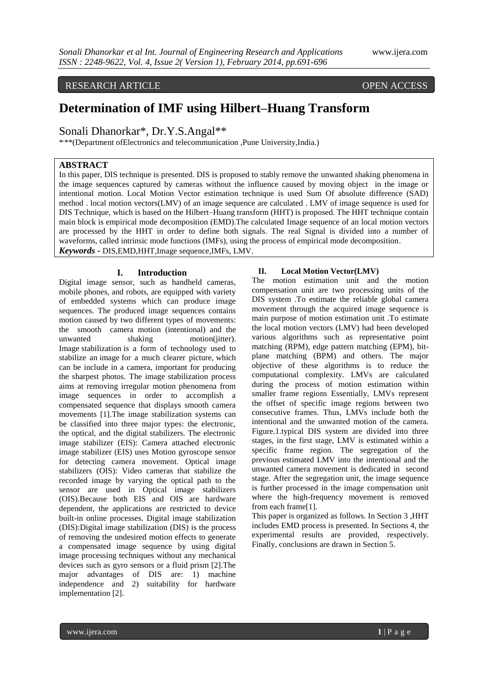RESEARCH ARTICLE OPEN ACCESS

# **Determination of IMF using Hilbert–Huang Transform**

Sonali Dhanorkar\*, Dr.Y.S.Angal\*\*

\* , \*\*(Department ofElectronics and telecommunication ,Pune University,India.)

## **ABSTRACT**

In this paper, DIS technique is presented. DIS is proposed to stably remove the unwanted shaking phenomena in the image sequences captured by cameras without the influence caused by moving object in the image or intentional motion. Local Motion Vector estimation technique is used Sum Of absolute difference (SAD) method . local motion vectors(LMV) of an image sequence are calculated . LMV of image sequence is used for DIS Technique, which is based on the Hilbert–Huang transform (HHT) is proposed. The HHT technique contain main block is empirical mode decomposition (EMD).The calculated Image sequence of an local motion vectors are processed by the HHT in order to define both signals. The real Signal is divided into a number of waveforms, called intrinsic mode functions (IMFs), using the process of empirical mode decomposition. *Keywords* **-** DIS,EMD,HHT,Image sequence,IMFs, LMV.

#### **I. Introduction**

Digital image sensor, such as handheld cameras, mobile phones, and robots, are equipped with variety of embedded systems which can produce image sequences. The produced image sequences contains motion caused by two different types of movements: the smooth camera motion (intentional) and the unwanted shaking motion(jitter). Image stabilization is a form of technology used to stabilize an image for a much clearer picture, which can be include in a camera, important for producing the sharpest photos. The image stabilization process aims at removing irregular motion phenomena from image sequences in order to accomplish a compensated sequence that displays smooth camera movements [1].The image stabilization systems can be classified into three major types: the electronic, the optical, and the digital stabilizers. The electronic image stabilizer (EIS): Camera attached electronic image stabilizer (EIS) uses Motion gyroscope sensor for detecting camera movement. Optical image stabilizers (OIS): Video cameras that stabilize the recorded image by varying the optical path to the sensor are used in Optical image stabilizers (OIS).Because both EIS and OIS are hardware dependent, the applications are restricted to device built-in online processes. Digital image stabilization (DIS):Digital image stabilization (DIS) is the process of removing the undesired motion effects to generate a compensated image sequence by using digital image processing techniques without any mechanical devices such as gyro sensors or a fluid prism [2].The major advantages of DIS are: 1) machine independence and 2) suitability for hardware implementation [2].

#### **II. Local Motion Vector(LMV)**

The motion estimation unit and the motion compensation unit are two processing units of the DIS system .To estimate the reliable global camera movement through the acquired image sequence is main purpose of motion estimation unit .To estimate the local motion vectors (LMV) had been developed various algorithms such as representative point matching (RPM), edge pattern matching (EPM), bitplane matching (BPM) and others. The major objective of these algorithms is to reduce the computational complexity. LMVs are calculated during the process of motion estimation within smaller frame regions Essentially, LMVs represent the offset of specific image regions between two consecutive frames. Thus, LMVs include both the intentional and the unwanted motion of the camera. Figure.1.typical DIS system are divided into three stages, in the first stage, LMV is estimated within a specific frame region. The segregation of the previous estimated LMV into the intentional and the unwanted camera movement is dedicated in second stage. After the segregation unit, the image sequence is further processed in the image compensation unit where the high-frequency movement is removed from each frame[1].

This paper is organized as follows. In Section 3 ,HHT includes EMD process is presented. In Sections 4, the experimental results are provided, respectively. Finally, conclusions are drawn in Section 5.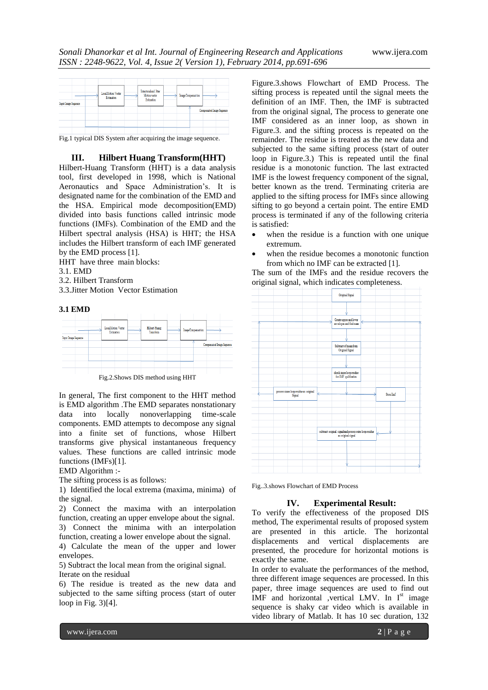

Fig.1 typical DIS System after acquiring the image sequence.

#### **III. Hilbert Huang Transform(HHT)**

Hilbert-Huang Transform (HHT) is a data analysis tool, first developed in 1998, which is National Aeronautics and Space Administration's. It is designated name for the combination of the EMD and the HSA. Empirical mode decomposition(EMD) divided into basis functions called intrinsic mode functions (IMFs). Combination of the EMD and the Hilbert spectral analysis (HSA) is HHT; the HSA includes the Hilbert transform of each IMF generated by the EMD process [1].

HHT have three main blocks:

- 3.1. EMD
- 3.2. Hilbert Transform
- 3.3.Jitter Motion Vector Estimation

#### **3.1 EMD**



Fig.2.Shows DIS method using HHT

In general, The first component to the HHT method is EMD algorithm .The EMD separates nonstationary data into locally nonoverlapping time-scale components. EMD attempts to decompose any signal into a finite set of functions, whose Hilbert transforms give physical instantaneous frequency values. These functions are called intrinsic mode functions (IMFs)[1].

EMD Algorithm :-

The sifting process is as follows:

1) Identified the local extrema (maxima, minima) of the signal.

2) Connect the maxima with an interpolation function, creating an upper envelope about the signal. 3) Connect the minima with an interpolation

function, creating a lower envelope about the signal. 4) Calculate the mean of the upper and lower envelopes.

5) Subtract the local mean from the original signal. Iterate on the residual

6) The residue is treated as the new data and subjected to the same sifting process (start of outer loop in Fig. 3)[4].

Figure.3.shows Flowchart of EMD Process. The sifting process is repeated until the signal meets the definition of an IMF. Then, the IMF is subtracted from the original signal, The process to generate one IMF considered as an inner loop, as shown in Figure.3. and the sifting process is repeated on the remainder. The residue is treated as the new data and subjected to the same sifting process (start of outer loop in Figure.3.) This is repeated until the final residue is a monotonic function. The last extracted IMF is the lowest frequency component of the signal, better known as the trend. Terminating criteria are applied to the sifting process for IMFs since allowing sifting to go beyond a certain point. The entire EMD process is terminated if any of the following criteria is satisfied:

- when the residue is a function with one unique extremum.
- when the residue becomes a monotonic function from which no IMF can be extracted [1].

The sum of the IMFs and the residue recovers the original signal, which indicates completeness.



Fig..3.shows Flowchart of EMD Process

#### **IV. Experimental Result:**

To verify the effectiveness of the proposed DIS method, The experimental results of proposed system are presented in this article. The horizontal displacements and vertical displacements are presented, the procedure for horizontal motions is exactly the same.

In order to evaluate the performances of the method, three different image sequences are processed. In this paper, three image sequences are used to find out IMF and horizontal ,vertical LMV. In  $I<sup>st</sup>$  image sequence is shaky car video which is available in video library of Matlab. It has 10 sec duration, 132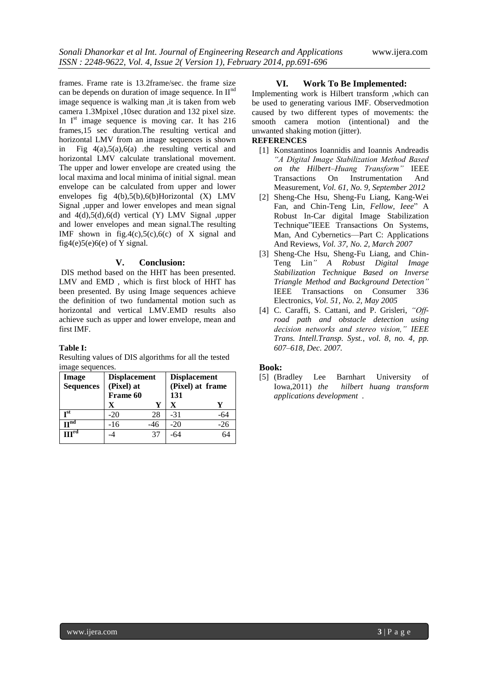frames. Frame rate is 13.2frame/sec. the frame size can be depends on duration of image sequence. In  $II<sup>n</sup>$ image sequence is walking man ,it is taken from web camera 1.3Mpixel ,10sec duration and 132 pixel size. In  $I<sup>st</sup>$  image sequence is moving car. It has 216 frames,15 sec duration.The resulting vertical and horizontal LMV from an image sequences is shown in Fig 4(a),5(a),6(a) .the resulting vertical and horizontal LMV calculate translational movement. The upper and lower envelope are created using the local maxima and local minima of initial signal. mean envelope can be calculated from upper and lower envelopes fig 4(b),5(b),6(b)Horizontal (X) LMV Signal ,upper and lower envelopes and mean signal and 4(d),5(d),6(d) vertical (Y) LMV Signal ,upper and lower envelopes and mean signal.The resulting IMF shown in fig.4(c),5(c),6(c) of X signal and fig4(e)5(e)6(e) of Y signal.

### **V. Conclusion:**

DIS method based on the HHT has been presented. LMV and EMD , which is first block of HHT has been presented. By using Image sequences achieve the definition of two fundamental motion such as horizontal and vertical LMV.EMD results also achieve such as upper and lower envelope, mean and first IMF.

## **Table I:**

Resulting values of DIS algorithms for all the tested image sequences.

| Image               | <b>Displacement</b> |     | <b>Displacement</b> |       |
|---------------------|---------------------|-----|---------------------|-------|
| <b>Sequences</b>    | (Pixel) at          |     | (Pixel) at frame    |       |
|                     | Frame 60            |     | 131                 |       |
|                     | X                   | Y   | X                   |       |
| $\mathbf{r}$ st     | $-20$               | 28  | $-31$               | -64   |
| H <sub>uq</sub>     | $-16$               | -46 | $-20$               | $-26$ |
| $\Pi$ <sup>ra</sup> |                     | 37  | -64                 | 64    |

## **VI. Work To Be Implemented:**

Implementing work is Hilbert transform ,which can be used to generating various IMF. Observedmotion caused by two different types of movements: the smooth camera motion (intentional) and the unwanted shaking motion (jitter).

### **REFERENCES**

- [1] Konstantinos Ioannidis and Ioannis Andreadis *"A Digital Image Stabilization Method Based on the Hilbert–Huang Transform"* IEEE Transactions On Instrumentation And Measurement, *Vol. 61, No. 9, September 2012*
- [2] Sheng-Che Hsu, Sheng-Fu Liang, Kang-Wei Fan, and Chin-Teng Lin*, Fellow, Ieee*" A Robust In-Car digital Image Stabilization Technique"IEEE Transactions On Systems, Man, And Cybernetics—Part C: Applications And Reviews, *Vol. 37, No. 2, March 2007*
- [3] Sheng-Che Hsu, Sheng-Fu Liang, and Chin-Teng Lin*" A Robust Digital Image Stabilization Technique Based on Inverse Triangle Method and Background Detection"* IEEE Transactions on Consumer 336 Electronics*, Vol. 51, No. 2, May 2005*
- [4] C. Caraffi, S. Cattani, and P. Grisleri, *"Offroad path and obstacle detection using decision networks and stereo vision," IEEE Trans. Intell.Transp. Syst.*, *vol. 8, no. 4, pp. 607–618, Dec. 2007.*

## **Book:**

[5] (Bradley Lee Barnhart University of Iowa,2011) *the hilbert huang transform applications development .*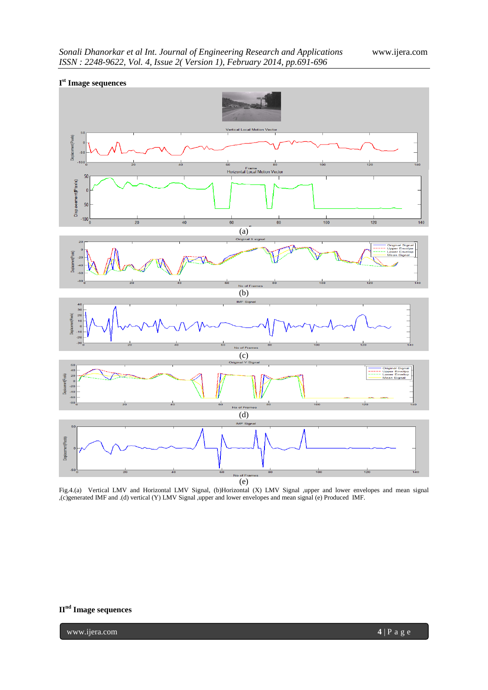

Fig.4.(a) Vertical LMV and Horizontal LMV Signal, (b)Horizontal (X) LMV Signal ,upper and lower envelopes and mean signal ,(c)generated IMF and .(d) vertical (Y) LMV Signal ,upper and lower envelopes and mean signal (e) Produced IMF.

## **IInd Image sequences**

www.ijera.com **4** | P a g e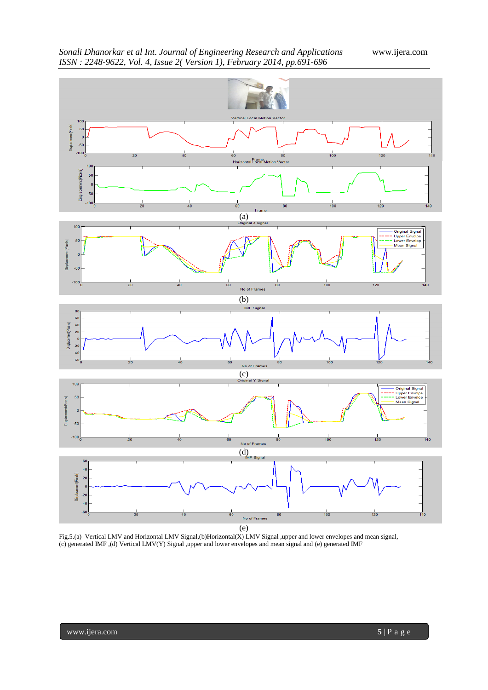

Fig.5.(a) Vertical LMV and Horizontal LMV Signal,(b)Horizontal(X) LMV Signal ,upper and lower envelopes and mean signal, (c) generated IMF ,(d) Vertical LMV(Y) Signal ,upper and lower envelopes and mean signal and (e) generated IMF